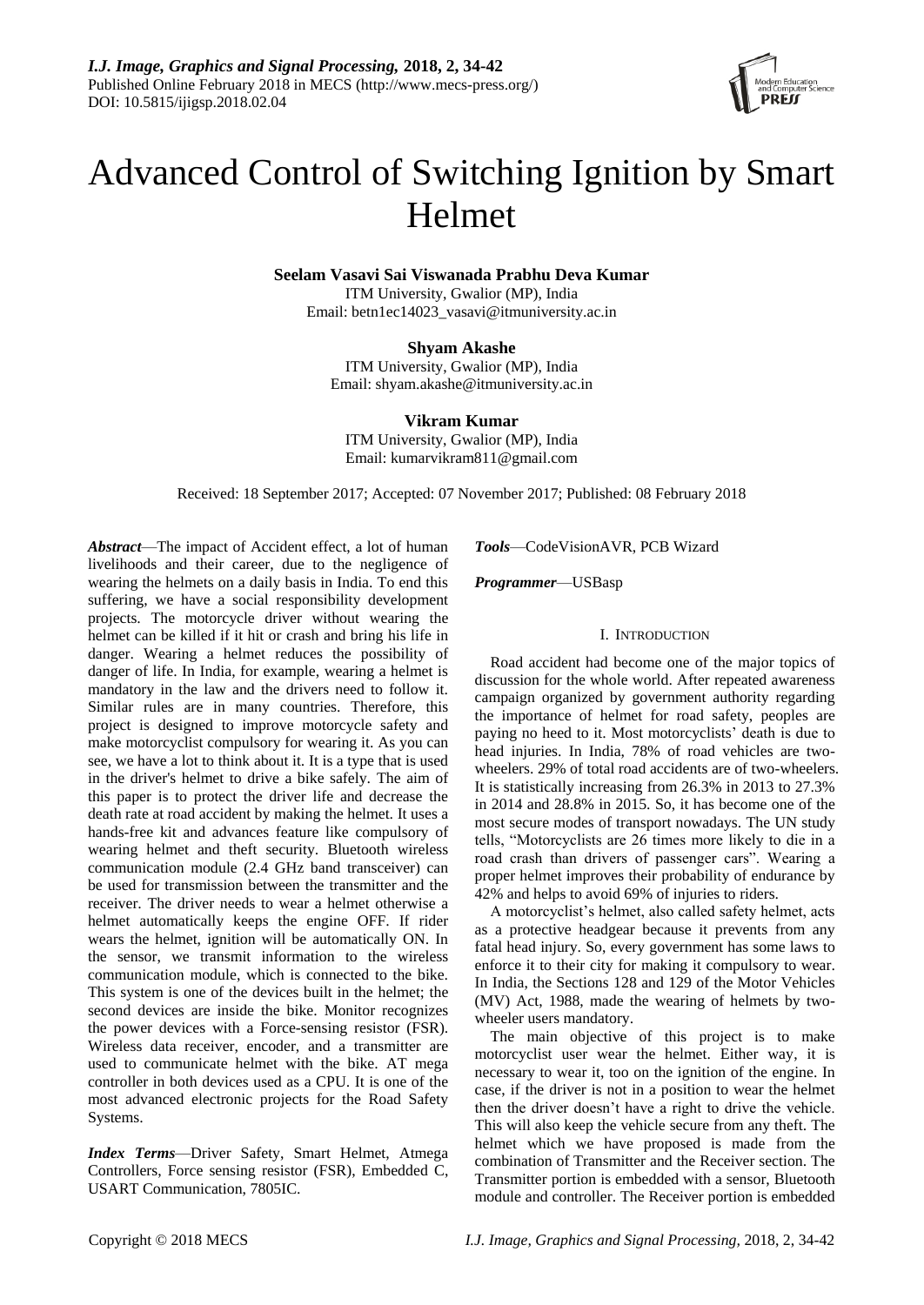

# Advanced Control of Switching Ignition by Smart Helmet

**Seelam Vasavi Sai Viswanada Prabhu Deva Kumar** ITM University, Gwalior (MP), India

Email: betn1ec14023\_vasavi@itmuniversity.ac.in

**Shyam Akashe**

ITM University, Gwalior (MP), India Email: shyam.akashe@itmuniversity.ac.in

# **Vikram Kumar**

ITM University, Gwalior (MP), India Email: kumarvikram811@gmail.com

Received: 18 September 2017; Accepted: 07 November 2017; Published: 08 February 2018

*Abstract*—The impact of Accident effect, a lot of human livelihoods and their career, due to the negligence of wearing the helmets on a daily basis in India. To end this suffering, we have a social responsibility development projects. The motorcycle driver without wearing the helmet can be killed if it hit or crash and bring his life in danger. Wearing a helmet reduces the possibility of danger of life. In India, for example, wearing a helmet is mandatory in the law and the drivers need to follow it. Similar rules are in many countries. Therefore, this project is designed to improve motorcycle safety and make motorcyclist compulsory for wearing it. As you can see, we have a lot to think about it. It is a type that is used in the driver's helmet to drive a bike safely. The aim of this paper is to protect the driver life and decrease the death rate at road accident by making the helmet. It uses a hands-free kit and advances feature like compulsory of wearing helmet and theft security. Bluetooth wireless communication module (2.4 GHz band transceiver) can be used for transmission between the transmitter and the receiver. The driver needs to wear a helmet otherwise a helmet automatically keeps the engine OFF. If rider wears the helmet, ignition will be automatically ON. In the sensor, we transmit information to the wireless communication module, which is connected to the bike. This system is one of the devices built in the helmet; the second devices are inside the bike. Monitor recognizes the power devices with a Force-sensing resistor (FSR). Wireless data receiver, encoder, and a transmitter are used to communicate helmet with the bike. AT mega controller in both devices used as a CPU. It is one of the most advanced electronic projects for the Road Safety Systems.

*Index Terms*—Driver Safety, Smart Helmet, Atmega Controllers, Force sensing resistor (FSR), Embedded C, USART Communication, 7805IC.

*Tools*—CodeVisionAVR, PCB Wizard

*Programmer*—USBasp

## I. INTRODUCTION

Road accident had become one of the major topics of discussion for the whole world. After repeated awareness campaign organized by government authority regarding the importance of helmet for road safety, peoples are paying no heed to it. Most motorcyclists' death is due to head injuries. In India, 78% of road vehicles are twowheelers. 29% of total road accidents are of two-wheelers. It is statistically increasing from 26.3% in 2013 to 27.3% in 2014 and 28.8% in 2015. So, it has become one of the most secure modes of transport nowadays. The UN study tells, "Motorcyclists are 26 times more likely to die in a road crash than drivers of passenger cars". Wearing a proper helmet improves their probability of endurance by 42% and helps to avoid 69% of injuries to riders.

A motorcyclist's helmet, also called safety helmet, acts as a protective headgear because it prevents from any fatal head injury. So, every government has some laws to enforce it to their city for making it compulsory to wear. In India, the Sections 128 and 129 of the Motor Vehicles (MV) Act, 1988, made the wearing of helmets by twowheeler users mandatory.

The main objective of this project is to make motorcyclist user wear the helmet. Either way, it is necessary to wear it, too on the ignition of the engine. In case, if the driver is not in a position to wear the helmet then the driver doesn't have a right to drive the vehicle. This will also keep the vehicle secure from any theft. The helmet which we have proposed is made from the combination of Transmitter and the Receiver section. The Transmitter portion is embedded with a sensor, Bluetooth module and controller. The Receiver portion is embedded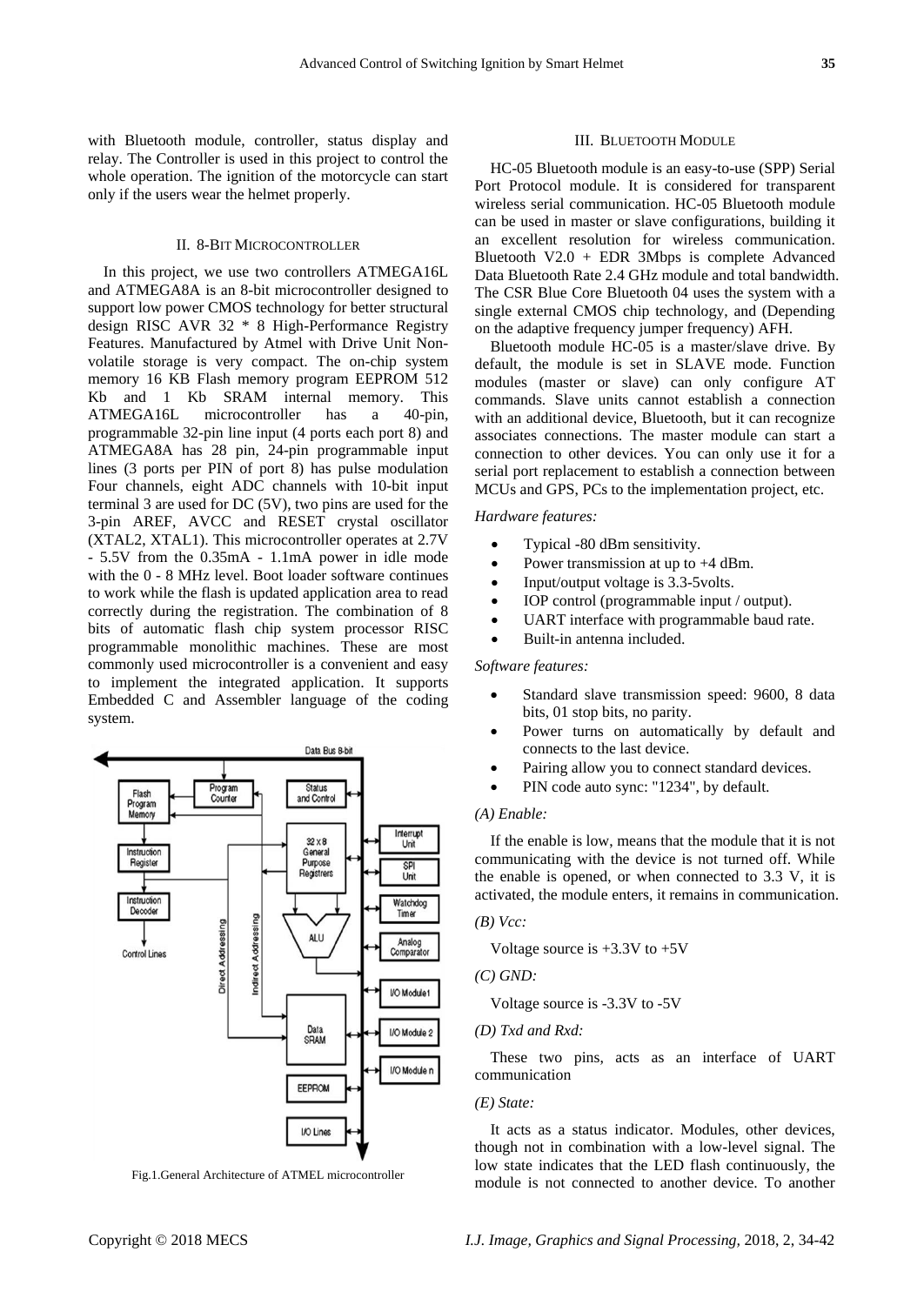with Bluetooth module, controller, status display and relay. The Controller is used in this project to control the whole operation. The ignition of the motorcycle can start only if the users wear the helmet properly.

# II. 8-BIT MICROCONTROLLER

In this project, we use two controllers ATMEGA16L and ATMEGA8A is an 8-bit microcontroller designed to support low power CMOS technology for better structural design RISC AVR 32 \* 8 High-Performance Registry Features. Manufactured by Atmel with Drive Unit Nonvolatile storage is very compact. The on-chip system memory 16 KB Flash memory program EEPROM 512 Kb and 1 Kb SRAM internal memory. This<br>ATMEGA16L microcontroller has a 40-pin. microcontroller has a 40-pin, programmable 32-pin line input (4 ports each port 8) and ATMEGA8A has 28 pin, 24-pin programmable input lines (3 ports per PIN of port 8) has pulse modulation Four channels, eight ADC channels with 10-bit input terminal 3 are used for DC (5V), two pins are used for the 3-pin AREF, AVCC and RESET crystal oscillator (XTAL2, XTAL1). This microcontroller operates at 2.7V - 5.5V from the 0.35mA - 1.1mA power in idle mode with the 0 - 8 MHz level. Boot loader software continues to work while the flash is updated application area to read correctly during the registration. The combination of 8 bits of automatic flash chip system processor RISC programmable monolithic machines. These are most commonly used microcontroller is a convenient and easy to implement the integrated application. It supports Embedded C and Assembler language of the coding system.



Fig.1.General Architecture of ATMEL microcontroller

#### III. BLUETOOTH MODULE

HC-05 Bluetooth module is an easy-to-use (SPP) Serial Port Protocol module. It is considered for transparent wireless serial communication. HC-05 Bluetooth module can be used in master or slave configurations, building it an excellent resolution for wireless communication. Bluetooth V2.0 + EDR 3Mbps is complete Advanced Data Bluetooth Rate 2.4 GHz module and total bandwidth. The CSR Blue Core Bluetooth 04 uses the system with a single external CMOS chip technology, and (Depending on the adaptive frequency jumper frequency) AFH.

Bluetooth module HC-05 is a master/slave drive. By default, the module is set in SLAVE mode. Function modules (master or slave) can only configure AT commands. Slave units cannot establish a connection with an additional device, Bluetooth, but it can recognize associates connections. The master module can start a connection to other devices. You can only use it for a serial port replacement to establish a connection between MCUs and GPS, PCs to the implementation project, etc.

#### *Hardware features:*

- Typical -80 dBm sensitivity.
- Power transmission at up to +4 dBm.
- Input/output voltage is 3.3-5volts.
- IOP control (programmable input / output).
- UART interface with programmable baud rate.
- Built-in antenna included.

## *Software features:*

- Standard slave transmission speed: 9600, 8 data bits, 01 stop bits, no parity.
- Power turns on automatically by default and connects to the last device.
- Pairing allow you to connect standard devices.
- PIN code auto sync: "1234", by default.

# *(A) Enable:*

If the enable is low, means that the module that it is not communicating with the device is not turned off. While the enable is opened, or when connected to 3.3 V, it is activated, the module enters, it remains in communication.

## *(B) Vcc:*

Voltage source is  $+3.3V$  to  $+5V$ 

$$
(C)
$$
 *GND*:

Voltage source is -3.3V to -5V

*(D) Txd and Rxd:*

These two pins, acts as an interface of UART communication

## *(E) State:*

It acts as a status indicator. Modules, other devices, though not in combination with a low-level signal. The low state indicates that the LED flash continuously, the module is not connected to another device. To another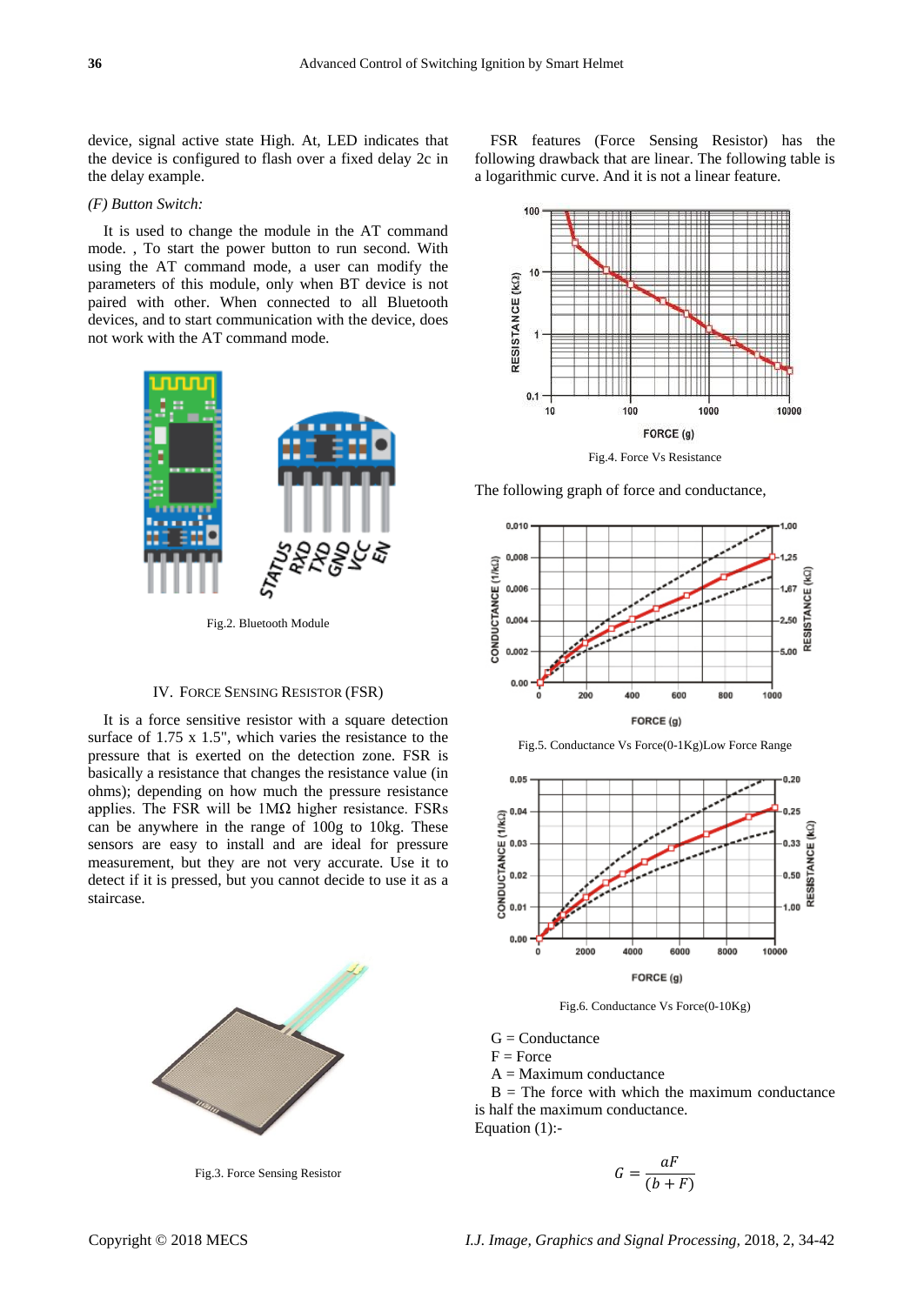device, signal active state High. At, LED indicates that the device is configured to flash over a fixed delay 2c in the delay example.

#### *(F) Button Switch:*

It is used to change the module in the AT command mode. , To start the power button to run second. With using the AT command mode, a user can modify the parameters of this module, only when BT device is not paired with other. When connected to all Bluetooth devices, and to start communication with the device, does not work with the AT command mode.



Fig.2. Bluetooth Module

# IV. FORCE SENSING RESISTOR (FSR)

It is a force sensitive resistor with a square detection surface of 1.75 x 1.5", which varies the resistance to the pressure that is exerted on the detection zone. FSR is basically a resistance that changes the resistance value (in ohms); depending on how much the pressure resistance applies. The FSR will be 1MΩ higher resistance. FSRs can be anywhere in the range of 100g to 10kg. These sensors are easy to install and are ideal for pressure measurement, but they are not very accurate. Use it to detect if it is pressed, but you cannot decide to use it as a staircase.



Fig.3. Force Sensing Resistor

FSR features (Force Sensing Resistor) has the following drawback that are linear. The following table is a logarithmic curve. And it is not a linear feature.



Fig.4. Force Vs Resistance

The following graph of force and conductance,



Fig.5. Conductance Vs Force(0-1Kg)Low Force Range



Fig.6. Conductance Vs Force(0-10Kg)

 $G =$  Conductance

 $F = Force$ 

 $A =$ Maximum conductance

 $B =$ The force with which the maximum conductance is half the maximum conductance.

Equation (1):-

$$
G = \frac{aF}{(b+F)}
$$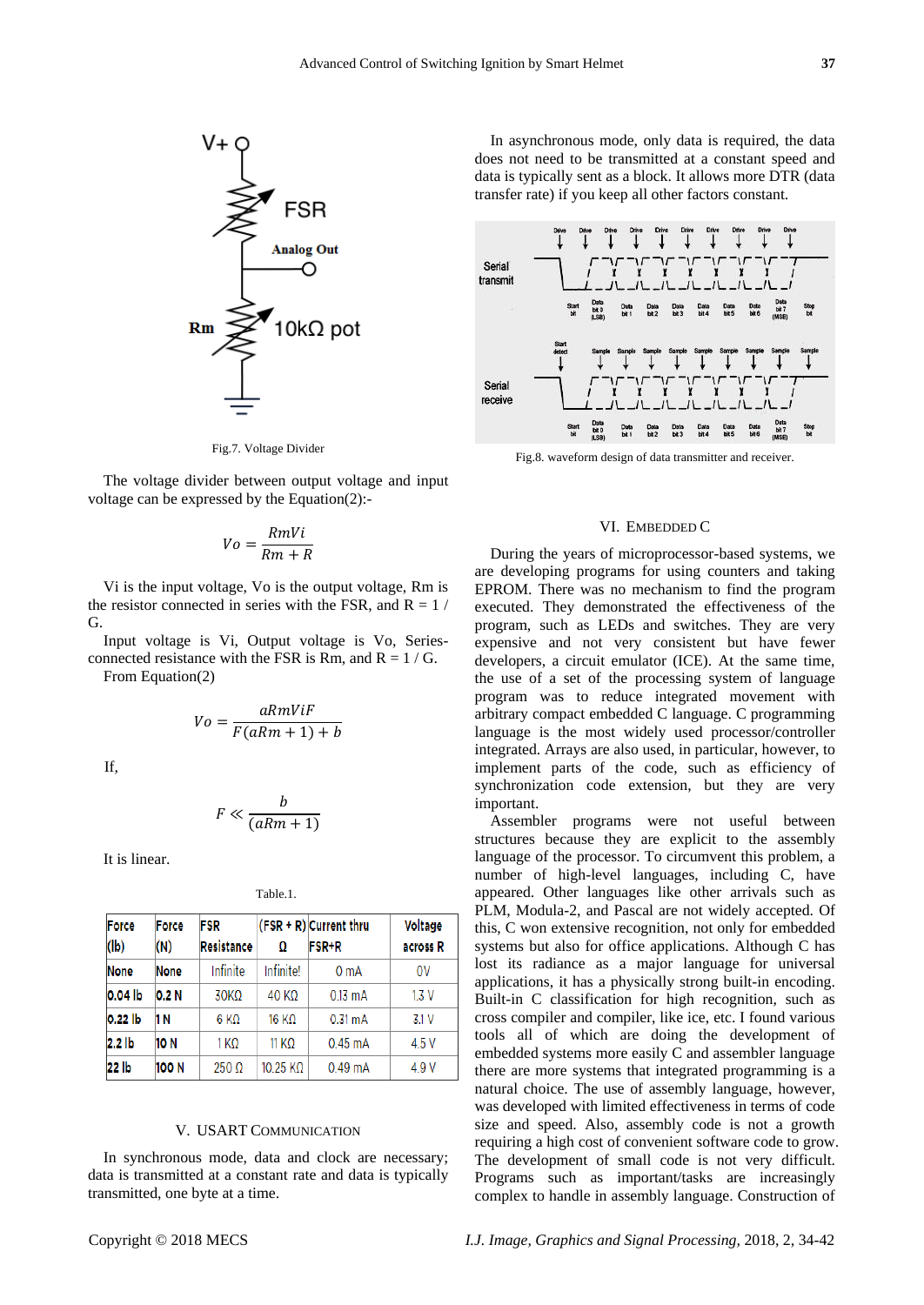

Fig.7. Voltage Divider

The voltage divider between output voltage and input voltage can be expressed by the Equation(2):-

$$
Vo = \frac{RmVi}{Rm + R}
$$

Vi is the input voltage, Vo is the output voltage, Rm is the resistor connected in series with the FSR, and  $R = 1/$ G.

Input voltage is Vi, Output voltage is Vo, Seriesconnected resistance with the FSR is Rm, and  $R = 1 / G$ .

From Equation(2)

$$
Vo = \frac{aRmViF}{F(aRm + 1) + b}
$$

If,

$$
F \ll \frac{b}{(aRm+1)}
$$

It is linear.

| Force           | Force       | <b>FSR</b>       |                    | $(FSR + R)$ Current thru | Voltage  |  |
|-----------------|-------------|------------------|--------------------|--------------------------|----------|--|
| $(\mathsf{lb})$ | (N)         | Resistance       | Ω                  | <b>FSR+R</b>             | across R |  |
| None            | <b>None</b> | Infinite         | Infinite!          | 0 <sub>m</sub> A         | 0V       |  |
| 0.04 lb         | 0.2N        | 30K <sub>Ω</sub> | 40 K <sub>0</sub>  | $0.13$ mA                | 1.3V     |  |
| 0.22 lb         | 1 N         | 6 KΩ             | 16 KΩ              | 0.31 <sub>mA</sub>       | 3.1V     |  |
| 2.2 lb          | 10 N        | $1$ K $\Omega$   | 11 KΩ              | $0.45 \text{ mA}$        | 4.5V     |  |
| 22 lb           | 100 N       | $250 \Omega$     | $10.25$ K $\Omega$ | 0.49 <sub>mA</sub>       | 4.9V     |  |

#### Table.1.

#### V. USART COMMUNICATION

In synchronous mode, data and clock are necessary; data is transmitted at a constant rate and data is typically transmitted, one byte at a time.

In asynchronous mode, only data is required, the data does not need to be transmitted at a constant speed and data is typically sent as a block. It allows more DTR (data transfer rate) if you keep all other factors constant.



Fig.8. waveform design of data transmitter and receiver.

#### VI. EMBEDDED C

During the years of microprocessor-based systems, we are developing programs for using counters and taking EPROM. There was no mechanism to find the program executed. They demonstrated the effectiveness of the program, such as LEDs and switches. They are very expensive and not very consistent but have fewer developers, a circuit emulator (ICE). At the same time, the use of a set of the processing system of language program was to reduce integrated movement with arbitrary compact embedded C language. C programming language is the most widely used processor/controller integrated. Arrays are also used, in particular, however, to implement parts of the code, such as efficiency of synchronization code extension, but they are very important.

Assembler programs were not useful between structures because they are explicit to the assembly language of the processor. To circumvent this problem, a number of high-level languages, including C, have appeared. Other languages like other arrivals such as PLM, Modula-2, and Pascal are not widely accepted. Of this, C won extensive recognition, not only for embedded systems but also for office applications. Although C has lost its radiance as a major language for universal applications, it has a physically strong built-in encoding. Built-in C classification for high recognition, such as cross compiler and compiler, like ice, etc. I found various tools all of which are doing the development of embedded systems more easily C and assembler language there are more systems that integrated programming is a natural choice. The use of assembly language, however, was developed with limited effectiveness in terms of code size and speed. Also, assembly code is not a growth requiring a high cost of convenient software code to grow. The development of small code is not very difficult. Programs such as important/tasks are increasingly complex to handle in assembly language. Construction of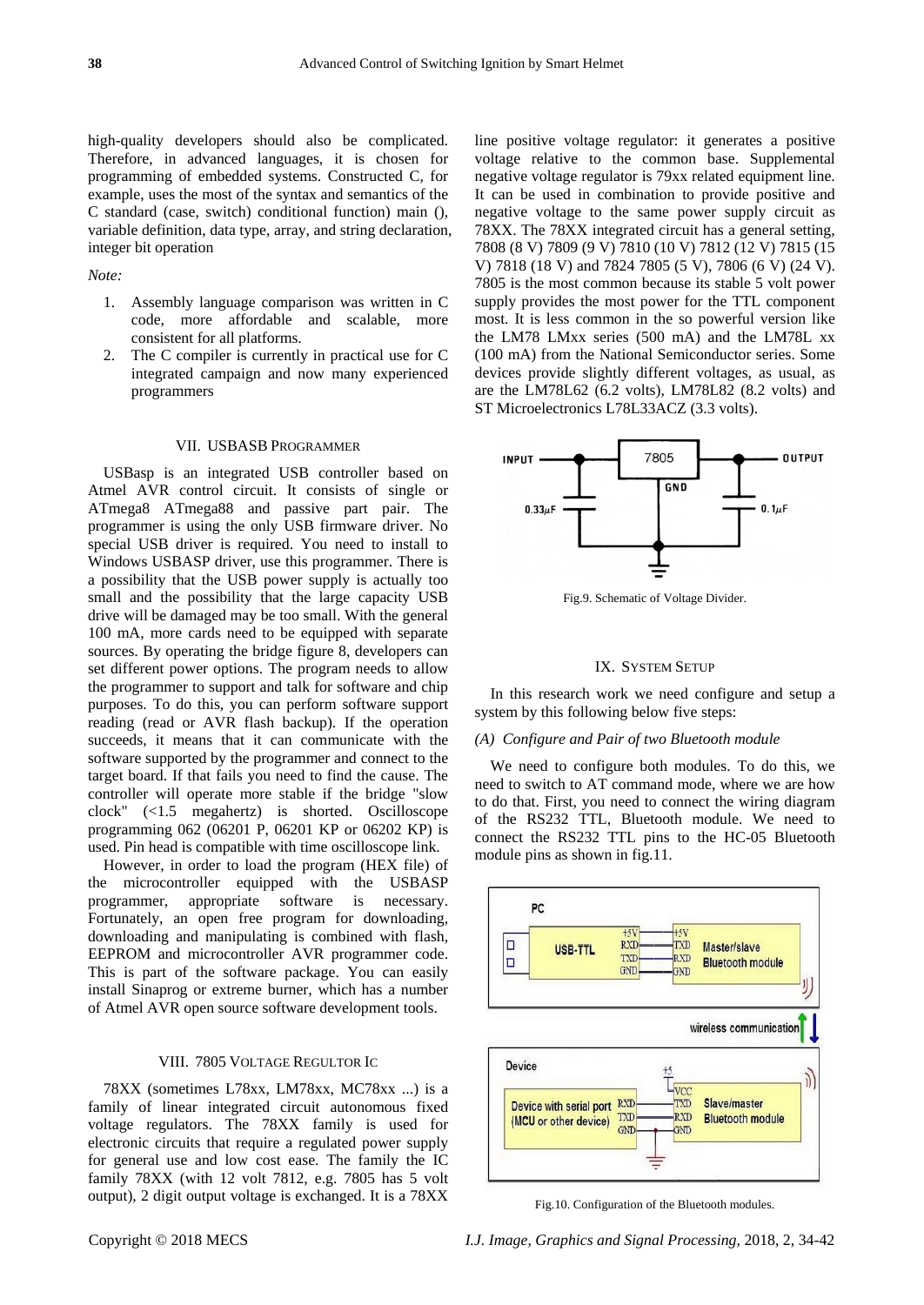high-quality developers should also be complicated. Therefore, in advanced languages, it is chosen for programming of embedded systems. Constructed C, for example, uses the most of the syntax and semantics of the C standard (case, switch) conditional function) main (), variable definition, data type, array, and string declaration, integer bit operation

*Note:*

- 1. Assembly language comparison was written in C code, more affordable and scalable, more consistent for all platforms.
- 2. The C compiler is currently in practical use for C integrated campaign and now many experienced programmers

#### VII. USBASB PROGRAMMER

USBasp is an integrated USB controller based on Atmel AVR control circuit. It consists of single or ATmega8 ATmega88 and passive part pair. The programmer is using the only USB firmware driver. No special USB driver is required. You need to install to Windows USBASP driver, use this programmer. There is a possibility that the USB power supply is actually too small and the possibility that the large capacity USB drive will be damaged may be too small. With the general 100 mA, more cards need to be equipped with separate sources. By operating the bridge figure 8, developers can set different power options. The program needs to allow the programmer to support and talk for software and chip purposes. To do this, you can perform software support reading (read or AVR flash backup). If the operation succeeds, it means that it can communicate with the software supported by the programmer and connect to the target board. If that fails you need to find the cause. The controller will operate more stable if the bridge "slow clock" (<1.5 megahertz) is shorted. Oscilloscope programming 062 (06201 P, 06201 KP or 06202 KP) is used. Pin head is compatible with time oscilloscope link.

However, in order to load the program (HEX file) of the microcontroller equipped with the USBASP programmer, appropriate software is necessary. Fortunately, an open free program for downloading, downloading and manipulating is combined with flash, EEPROM and microcontroller AVR programmer code. This is part of the software package. You can easily install Sinaprog or extreme burner, which has a number of Atmel AVR open source software development tools.

## VIII. 7805 VOLTAGE REGULTOR IC

78XX (sometimes L78xx, LM78xx, MC78xx ...) is a family of linear integrated circuit autonomous fixed voltage regulators. The 78XX family is used for electronic circuits that require a regulated power supply for general use and low cost ease. The family the IC family 78XX (with 12 volt 7812, e.g. 7805 has 5 volt output), 2 digit output voltage is exchanged. It is a 78XX

line positive voltage regulator: it generates a positive voltage relative to the common base. Supplemental negative voltage regulator is 79xx related equipment line. It can be used in combination to provide positive and negative voltage to the same power supply circuit as 78XX. The 78XX integrated circuit has a general setting, 7808 (8 V) 7809 (9 V) 7810 (10 V) 7812 (12 V) 7815 (15 V) 7818 (18 V) and 7824 7805 (5 V), 7806 (6 V) (24 V). 7805 is the most common because its stable 5 volt power supply provides the most power for the TTL component most. It is less common in the so powerful version like the LM78 LMxx series (500 mA) and the LM78L xx (100 mA) from the National Semiconductor series. Some devices provide slightly different voltages, as usual, as are the LM78L62 (6.2 volts), LM78L82 (8.2 volts) and ST Microelectronics L78L33ACZ (3.3 volts).



Fig.9. Schematic of Voltage Divider.

## IX. SYSTEM SETUP

In this research work we need configure and setup a system by this following below five steps:

#### *(A) Configure and Pair of two Bluetooth module*

We need to configure both modules. To do this, we need to switch to AT command mode, where we are how to do that. First, you need to connect the wiring diagram of the RS232 TTL, Bluetooth module. We need to connect the RS232 TTL pins to the HC-05 Bluetooth module pins as shown in fig.11.



Fig.10. Configuration of the Bluetooth modules.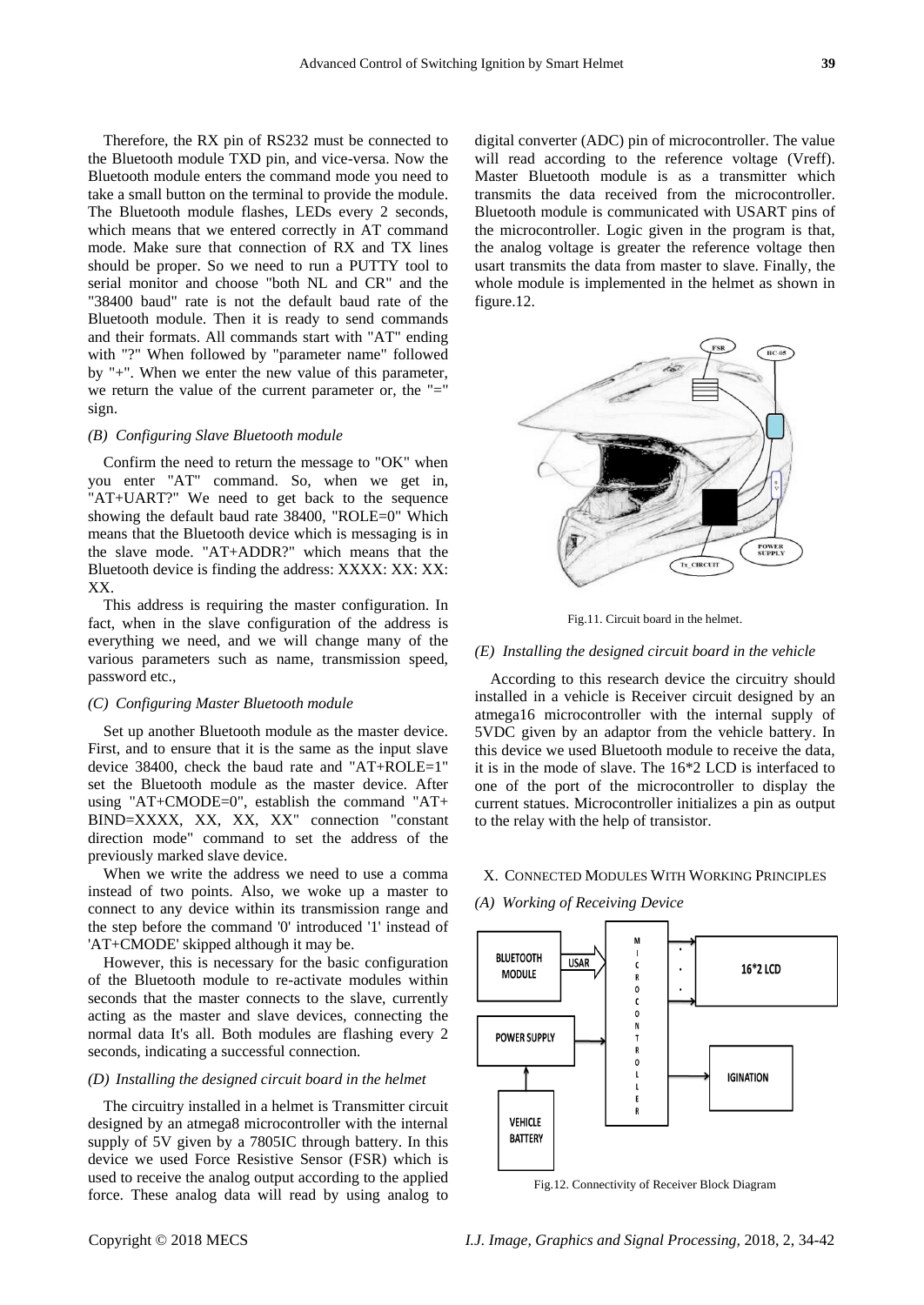Therefore, the RX pin of RS232 must be connected to the Bluetooth module TXD pin, and vice-versa. Now the Bluetooth module enters the command mode you need to take a small button on the terminal to provide the module. The Bluetooth module flashes, LEDs every 2 seconds, which means that we entered correctly in AT command mode. Make sure that connection of RX and TX lines should be proper. So we need to run a PUTTY tool to serial monitor and choose "both NL and CR" and the "38400 baud" rate is not the default baud rate of the Bluetooth module. Then it is ready to send commands and their formats. All commands start with "AT" ending with "?" When followed by "parameter name" followed by "+". When we enter the new value of this parameter, we return the value of the current parameter or, the "=" sign.

#### *(B) Configuring Slave Bluetooth module*

Confirm the need to return the message to "OK" when you enter "AT" command. So, when we get in, "AT+UART?" We need to get back to the sequence showing the default baud rate 38400, "ROLE=0" Which means that the Bluetooth device which is messaging is in the slave mode. "AT+ADDR?" which means that the Bluetooth device is finding the address: XXXX: XX: XX: XX.

This address is requiring the master configuration. In fact, when in the slave configuration of the address is everything we need, and we will change many of the various parameters such as name, transmission speed, password etc.,

### *(C) Configuring Master Bluetooth module*

Set up another Bluetooth module as the master device. First, and to ensure that it is the same as the input slave device 38400, check the baud rate and "AT+ROLE=1" set the Bluetooth module as the master device. After using "AT+CMODE=0", establish the command "AT+ BIND=XXXX, XX, XX, XX" connection "constant direction mode" command to set the address of the previously marked slave device.

When we write the address we need to use a comma instead of two points. Also, we woke up a master to connect to any device within its transmission range and the step before the command '0' introduced '1' instead of 'AT+CMODE' skipped although it may be.

However, this is necessary for the basic configuration of the Bluetooth module to re-activate modules within seconds that the master connects to the slave, currently acting as the master and slave devices, connecting the normal data It's all. Both modules are flashing every 2 seconds, indicating a successful connection*.*

### *(D) Installing the designed circuit board in the helmet*

The circuitry installed in a helmet is Transmitter circuit designed by an atmega8 microcontroller with the internal supply of 5V given by a 7805IC through battery. In this device we used Force Resistive Sensor (FSR) which is used to receive the analog output according to the applied force. These analog data will read by using analog to digital converter (ADC) pin of microcontroller. The value will read according to the reference voltage (Vreff). Master Bluetooth module is as a transmitter which transmits the data received from the microcontroller. Bluetooth module is communicated with USART pins of the microcontroller. Logic given in the program is that, the analog voltage is greater the reference voltage then usart transmits the data from master to slave. Finally, the whole module is implemented in the helmet as shown in figure.12.



Fig.11. Circuit board in the helmet.

#### *(E) Installing the designed circuit board in the vehicle*

According to this research device the circuitry should installed in a vehicle is Receiver circuit designed by an atmega16 microcontroller with the internal supply of 5VDC given by an adaptor from the vehicle battery. In this device we used Bluetooth module to receive the data, it is in the mode of slave. The 16\*2 LCD is interfaced to one of the port of the microcontroller to display the current statues. Microcontroller initializes a pin as output to the relay with the help of transistor.

#### X. CONNECTED MODULES WITH WORKING PRINCIPLES

*(A) Working of Receiving Device*



Fig.12. Connectivity of Receiver Block Diagram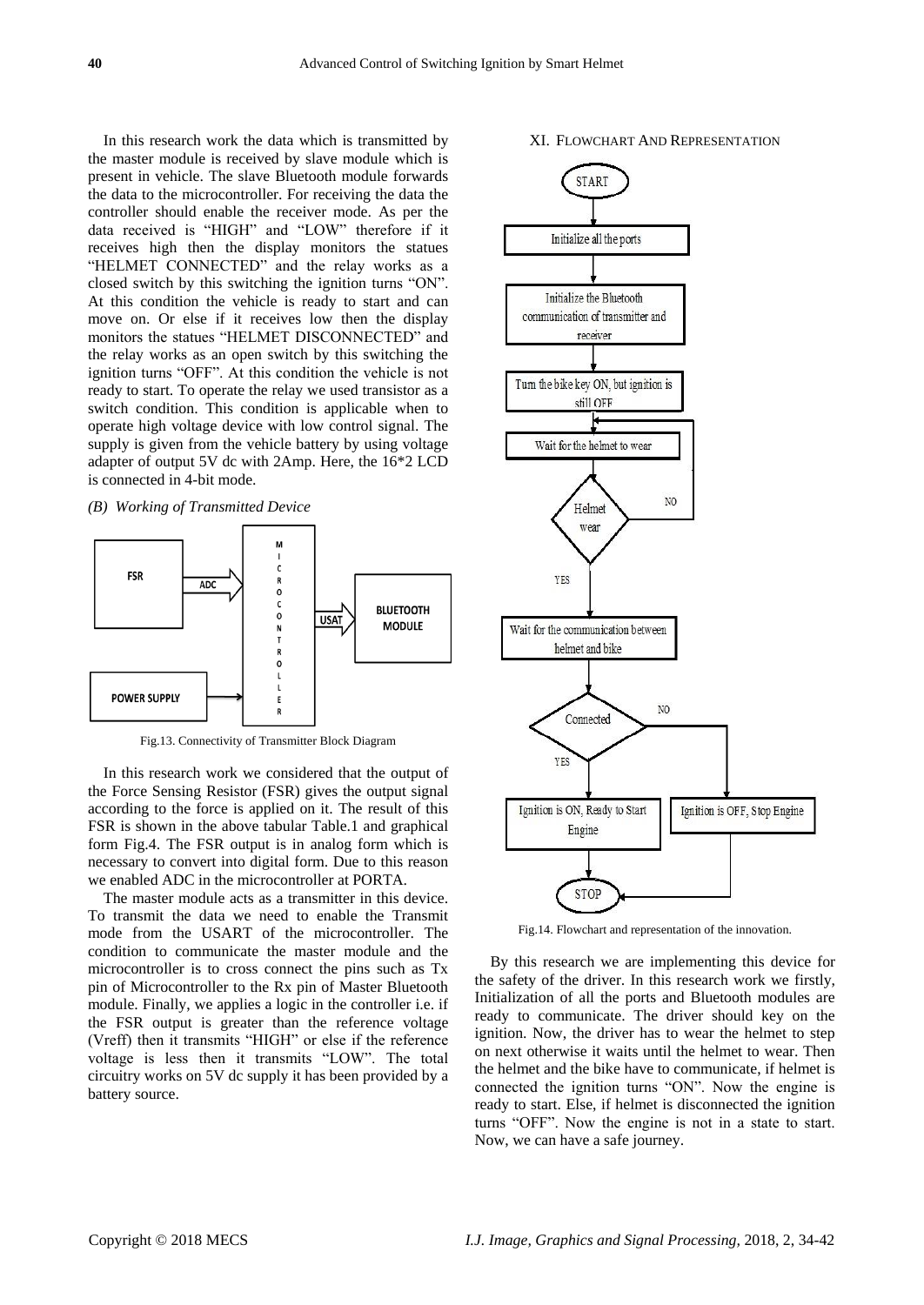In this research work the data which is transmitted by the master module is received by slave module which is present in vehicle. The slave Bluetooth module forwards the data to the microcontroller. For receiving the data the controller should enable the receiver mode. As per the data received is "HIGH" and "LOW" therefore if it receives high then the display monitors the statues "HELMET CONNECTED" and the relay works as a closed switch by this switching the ignition turns "ON". At this condition the vehicle is ready to start and can move on. Or else if it receives low then the display monitors the statues "HELMET DISCONNECTED" and the relay works as an open switch by this switching the ignition turns "OFF". At this condition the vehicle is not ready to start. To operate the relay we used transistor as a switch condition. This condition is applicable when to operate high voltage device with low control signal. The supply is given from the vehicle battery by using voltage adapter of output 5V dc with 2Amp. Here, the 16\*2 LCD is connected in 4-bit mode.

#### *(B) Working of Transmitted Device*



Fig.13. Connectivity of Transmitter Block Diagram

In this research work we considered that the output of the Force Sensing Resistor (FSR) gives the output signal according to the force is applied on it. The result of this FSR is shown in the above tabular Table.1 and graphical form Fig.4. The FSR output is in analog form which is necessary to convert into digital form. Due to this reason we enabled ADC in the microcontroller at PORTA.

The master module acts as a transmitter in this device. To transmit the data we need to enable the Transmit mode from the USART of the microcontroller. The condition to communicate the master module and the microcontroller is to cross connect the pins such as Tx pin of Microcontroller to the Rx pin of Master Bluetooth module. Finally, we applies a logic in the controller i.e. if the FSR output is greater than the reference voltage (Vreff) then it transmits "HIGH" or else if the reference voltage is less then it transmits "LOW". The total circuitry works on 5V dc supply it has been provided by a battery source.





Fig.14. Flowchart and representation of the innovation.

By this research we are implementing this device for the safety of the driver. In this research work we firstly, Initialization of all the ports and Bluetooth modules are ready to communicate. The driver should key on the ignition. Now, the driver has to wear the helmet to step on next otherwise it waits until the helmet to wear. Then the helmet and the bike have to communicate, if helmet is connected the ignition turns "ON". Now the engine is ready to start. Else, if helmet is disconnected the ignition turns "OFF". Now the engine is not in a state to start. Now, we can have a safe journey.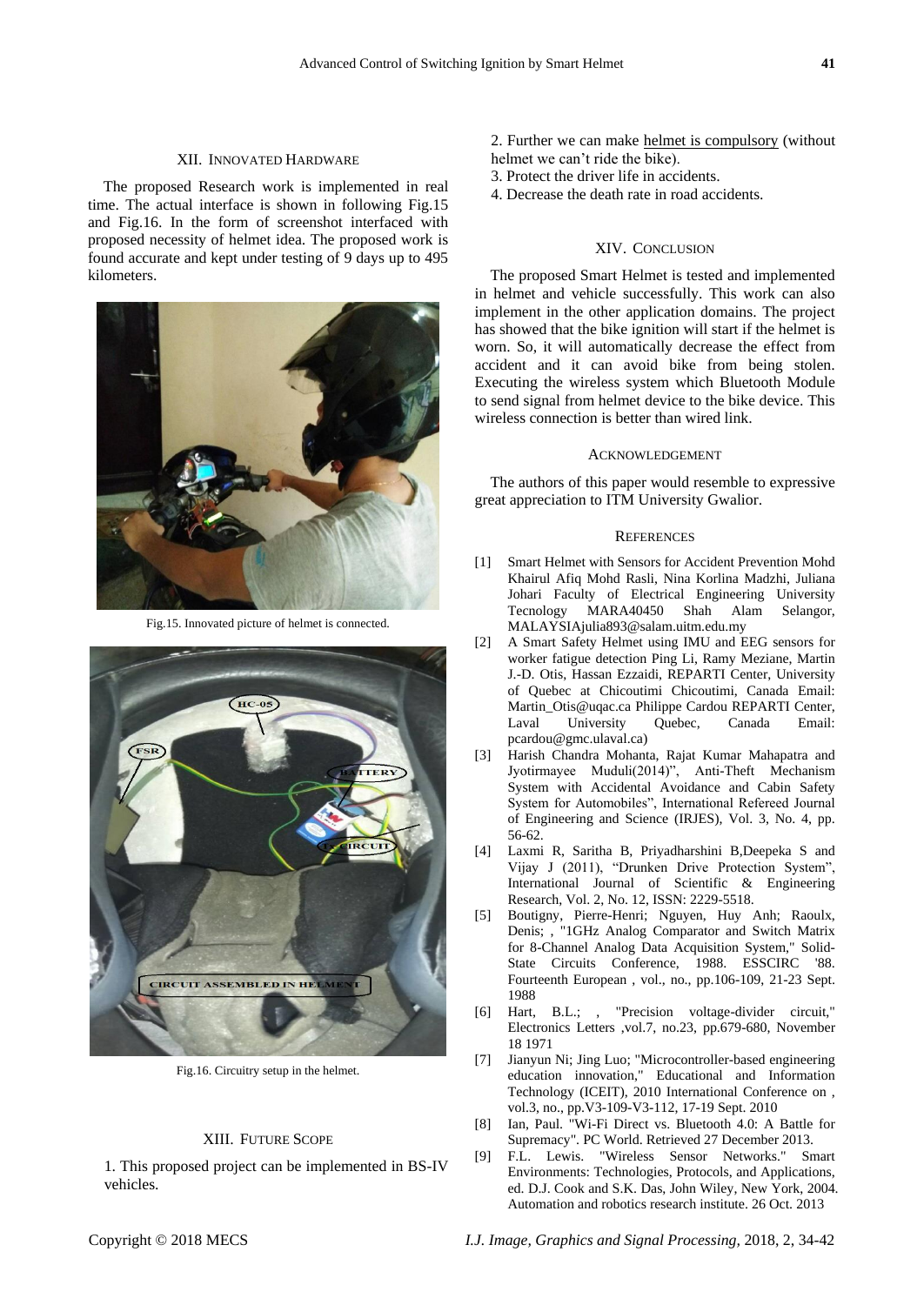#### XII. INNOVATED HARDWARE

The proposed Research work is implemented in real time. The actual interface is shown in following Fig.15 and Fig.16. In the form of screenshot interfaced with proposed necessity of helmet idea. The proposed work is found accurate and kept under testing of 9 days up to 495 kilometers.



Fig.15. Innovated picture of helmet is connected.



Fig.16. Circuitry setup in the helmet.

# XIII. FUTURE SCOPE

1. This proposed project can be implemented in BS-IV vehicles.

- 2. Further we can make helmet is compulsory (without helmet we can't ride the bike).
- 3. Protect the driver life in accidents.
- 4. Decrease the death rate in road accidents.

# XIV. CONCLUSION

The proposed Smart Helmet is tested and implemented in helmet and vehicle successfully. This work can also implement in the other application domains. The project has showed that the bike ignition will start if the helmet is worn. So, it will automatically decrease the effect from accident and it can avoid bike from being stolen. Executing the wireless system which Bluetooth Module to send signal from helmet device to the bike device. This wireless connection is better than wired link.

#### ACKNOWLEDGEMENT

The authors of this paper would resemble to expressive great appreciation to ITM University Gwalior.

## **REFERENCES**

- [1] Smart Helmet with Sensors for Accident Prevention Mohd Khairul Afiq Mohd Rasli, Nina Korlina Madzhi, Juliana Johari Faculty of Electrical Engineering University Tecnology MARA40450 Shah Alam Selangor, MALAYSIAjulia893@salam.uitm.edu.my
- [2] A Smart Safety Helmet using IMU and EEG sensors for worker fatigue detection Ping Li, Ramy Meziane, Martin J.-D. Otis, Hassan Ezzaidi, REPARTI Center, University of Quebec at Chicoutimi Chicoutimi, Canada Email: Martin\_Otis@uqac.ca Philippe Cardou REPARTI Center, Laval University Quebec, Canada Email: pcardou@gmc.ulaval.ca)
- [3] Harish Chandra Mohanta, Rajat Kumar Mahapatra and Jyotirmayee Muduli(2014)", Anti-Theft Mechanism System with Accidental Avoidance and Cabin Safety System for Automobiles", International Refereed Journal of Engineering and Science (IRJES), Vol. 3, No. 4, pp. 56-62.
- [4] Laxmi R, Saritha B, Priyadharshini B,Deepeka S and Vijay J (2011), "Drunken Drive Protection System", International Journal of Scientific & Engineering Research, Vol. 2, No. 12, ISSN: 2229-5518.
- [5] Boutigny, Pierre-Henri; Nguyen, Huy Anh; Raoulx, Denis; , "1GHz Analog Comparator and Switch Matrix for 8-Channel Analog Data Acquisition System," Solid-State Circuits Conference, 1988. ESSCIRC '88. Fourteenth European , vol., no., pp.106-109, 21-23 Sept. 1988
- [6] Hart, B.L.; , "Precision voltage-divider circuit," Electronics Letters ,vol.7, no.23, pp.679-680, November 18 1971
- [7] Jianyun Ni; Jing Luo; "Microcontroller-based engineering education innovation," Educational and Information Technology (ICEIT), 2010 International Conference on , vol.3, no., pp.V3-109-V3-112, 17-19 Sept. 2010
- [8] Ian, Paul. "Wi-Fi Direct vs. Bluetooth 4.0: A Battle for Supremacy". PC World. Retrieved 27 December 2013.
- [9] F.L. Lewis. "Wireless Sensor Networks." Smart Environments: Technologies, Protocols, and Applications, ed. D.J. Cook and S.K. Das, John Wiley, New York, 2004. Automation and robotics research institute. 26 Oct. 2013